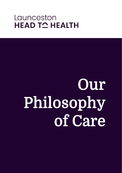# Launceston **HEAD TO HEALTH**

# Our Philosophy of Care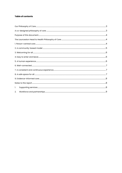#### **Table of contents**

| 1. |  |
|----|--|
| 2. |  |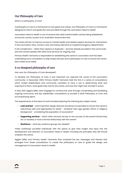# <span id="page-2-0"></span>Our Philosophy of Care

*What is a philosophy of care?*

A philosophy of care is a framework of care goals and values. Our Philosophy of Care is a framework designed to inform and guide the care provided through the Launceston Head to Health.

Launceston Head to Health is one of several new adult mental health centres being established across the country as part of an Australian Government trial.

The centre will aim to improve access to mental health and related support services for Tasmanians in the Launceston area, connect care, and reduce demand on hospital emergency departments.

It will complement – rather than replace or duplicate – services already provided in the community and will connect people with other local services for ongoing care.

<span id="page-2-1"></span>Primary Health Tasmania is responsible for establishing the centre in Launceston and has been undertaking local consultation to help shape services and a philosophy of care to ensure the centre best meets local needs.

# A co-designed philosophy of care

#### *How was Our Philosophy of Care developed?*

To develop Our Philosophy of Care, it was important we captured the voices of the Launceston community. In December 2020, Primary Health Tasmania held the first in a series of consultations which invited stakeholders and community members to have a say in determining what was important to them, what goals they had for the centre, and how this might look and feel in action.

In May 2021, Siggins Miller were engaged to continue the work through coordinating and facilitating ongoing community and key stakeholder consultations to provide a draft Philosophy of Care and accompanying report.

The requirements of this piece of work included exploring the following key subject areas:

- **Look and feel**  what important design features should be incorporated to ensure the centre is welcoming, safe and appropriate for adults – whatever their age, gender, ethnic or religious background – considering the population of Launceston?
- **Supporting services**  which other services are key to the success of the centre? Should they be co-located, or have a formal relationship with the centre?
- **Workforce**  what key workforce groups are needed?

These workshops provided individuals with the space to give their insight and input into the development and direction of Launceston Head to Health, including the principles they felt should underpin the centre.

<span id="page-2-2"></span>Siggins Miller and Primary Health Tasmania then analysed the key messages and themes that emerged from these consultations to create this philosophy of care to guide the design and management of Launceston Head to Health.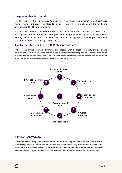# Purpose of this document

This Philosophy of Care is intended to guide the initial design, implementation, and continued management of the Launceston Head to Health to ensure the centre aligns with the needs and principles identified by the community.

All community members reiterated it was important to them the principles and values in the Philosophy of Care were seen, felt, and experienced through the centre's physical design, ways of working, and by the people who experience the centre (including those with lived experience, carers and families, and the community as a whole).

# <span id="page-3-0"></span>The Launceston Head to Health Philosophy of Care

The following principles emerged from the consultations with the local community. The decision to have person-centred care in the centre of the diagram signifies this principle was reiterated by all stakeholders in all locations, was seen to be the most important principle for the centre, and was identified as the overarching principle that should guide all others.



# <span id="page-3-1"></span>1. Person-centred care

Stakeholders felt strongly the centre needed to adhere to the principles of person-centred care recognising individual needs, circumstances, and experiences. They emphasised the view that health care is not 'one size fits all', but rather meets the unique needs, preferences, and values of clients and their support networks, as well as respecting their autonomy and independence.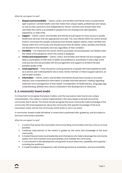#### *What do we expect to see?*

- 1. **Respect and accessibility** Clients, carers, and families and friends have a fundamental right to person-centred health care that meets their unique needs, preferences and values, as well as their autonomy and independence. Person-centred care should mean that ultimately the centre is accessible to people from any background, demographic, experience, or walk of life.
- 2. **Support** Clients, carers, and families and friends should expect to have access to quality healthcare services that are appropriate and safe. The care offered within the centre should build on and boost the people and places that already support clients, carers, families and friends within the community and should ensure that all clients, carers, families and friends are directed to the necessary services, regardless of their condition.
- 3. **Flexibility** It is important the centre (and its processes and procedures) can flexibly meet the needs of the people for whom the centre is designed.
- 4. **Choice and empowerment** Clients, carers, and families and friends are encouraged, and able to, participate, to their level of ability and preference, as partners in every step of the care journey and are provided with encouragement and support to achieve the best possible quality of life.
- 5. **Lived experience** There should be a strong presence of people with lived experience both as a service user (client/patient) and a carer, family member or friend (support person), as well as peer workers.
- 6. **Information** Clients, carers, and families and friends should have access to accurate, relevant, and comprehensive information to enable informed decision-making regarding treatment and management of their health. Consideration of health literacy, language, age, understanding, abilities and culture is essential in the development of resources.

# <span id="page-4-0"></span>2. A community-based model

It is important to recognise that place matters, and the Launceston area has its own unique characteristics. This means a centre implemented in this area needs to be built around the community that it serves. The centre should recognise the local community holds knowledge of the community (the lived experience), about the community (the specific knowledge of the local Launceston area), and for the community (what works or not in our area).

A community-based model will deliver a centre that is partnered with, guided by, and focussed on the local community's priorities.

#### *What do we expect to see?*

- 1. A centre that serves the Launceston and surrounding communities and has a focus on local priorities.
- 2. Continual improvement of the centre is guided by the voice and knowledge of the local community.
- 3. A model that promotes local leadership and champions who help to leverage the community assets, form and maintain local partnerships, and mobilise the community.
- 4. A commitment to the development and growth of local resources, capability and capacity including the workforce.
- <span id="page-4-1"></span>5. A model founded in transparency with shared governance, evaluation, and accountability.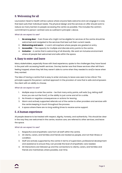# 3. Welcoming for all

Launceston Head to Health will be a place where anyone feels welcome and can engage in a way that best suits their individual needs. The physical design and the services on offer should work to reduce as many barriers to people accessing the centre as possible. This includes the centre's commitment to person-centred care as outlined in principle 1, above.

#### *What do we expect to see?*

- 1. **No wrong door** Even those who might not be eligible for services at the centre should be welcomed and navigated to the services that best suit their current needs.
- 2. **Welcoming and warm**  A warm atmosphere where people are greeted on entry.
- 3. **Accessible**  The capacity for multiple and discrete entry points to the centre.
- 4. **Inclusive**  A centre that is welcoming of all diversity. We want an inclusive environment where all people feel welcomed and safe within the space.

# <span id="page-5-0"></span>4. Easy to enter and leave

Many stakeholders, especially those with lived experience, spoke to the challenges they have faced in the past with accessing health services. One key barrier was that these services often left them feeling trapped, where they felt they weren't able to come when they needed to and/or leave when they wanted.

The idea of having a centre that is easy to enter and easy to leave was seen to be critical. This principle supports the person-centred approach in the provision of care that is safe and empowers the client with an ability to choose.

#### *What do we expect to see?*

- 1. Multiple ways to enter the centre be that many entry points, soft exits (e.g. letting staff know you are out the front), or the ability to just come and sit for a while.
- 2. No threats or negative consequences or actions for leaving.
- 3. Warm and actively supported referrals out of the centre to other providers and services with the centre keeping in touch throughout the process.
- 4. A space where there are no long waiting times to receive some support.

### <span id="page-5-1"></span>5. A human experience

All people deserve to be treated with respect, dignity, honesty, and authenticity. This should be clear in the way they are welcomed in the centre, receive care, are referred to other services, and leave the space.

#### *What do we expect to see?*

- 1. Respectful and empathetic care from all staff within the centre.
- 2. All clients, carers, and families and friends are treated as people, and not their illness or condition.
- 3. Staff are actively supported by the centre in terms of supervision, professional development and assistance to ensure they can provide the level of empathetic care needed.
- <span id="page-5-2"></span>4. All interactions are followed up and the connections to clients, carers, and families and friends are maintained, where possible, over time.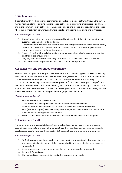# 6. Well-connected

Stakeholders with lived experience commented on the lack of a clear pathway through the current mental health system, reiterating that the space between organisations, organisations and homes, and in the communication between clients, carers, families and friends, and providers is the space where things most often go wrong, and where people can become most alone and distressed.

#### *What do we expect to see?*

- 1. Commitment to the mechanics of integrated health service delivery to support stronger system cohesion and coordinated care.
- 2. Consistent communication and collaboration with complementary services, clients, carers, and families and friends to understand and develop better pathways and processes to support seamless navigation of the system.
- 3. A commitment to fill, or collaborate to overcome, gaps where clients, carers, and families and friends are unsupported.
- 4. Ongoing collaboration and co-design with local communities and service providers.
- 5. Continuous quality improvement activities and evaluation practices.

# <span id="page-6-0"></span>7. A consistent and continuous experience

It is important that people can expect to receive the same quality and type of care each time they return to the centre. This means that, irrespective of who greets them at the door, each interaction carries a consistent message. The importance of a consistent experience was strongly communicated, especially by those with lived experience (both clients and support people), as it meant that they felt more comfortable returning to a place each time. Continuity of care was also important in that the same level of connection and empathy should be maintained throughout the time where a client and their support people are engaged with the centre.

#### *What do we expect to see?*

- 1. Staff who can deliver consistent care.
- 2. Clear clinical and client pathways that are documented and available.
- 3. Expectations about what is and isn't available in the centre are communicated.
- 4. Staff (volunteer or paid) who walk alongside clients, carers, and families and friends, and travel with them through their care journey.
- 5. Seamless and warm referrals between the centre and other services and supports.

# <span id="page-6-1"></span>8. A safe space for all

The centre should promote safety for all: those with lived experience (both clients and support people), the community, and the staff who work there. This includes a strong commitment to deescalation, spaces to minimise the impact of distress on others, and a calming environment.

#### *What do we expect to see?*

- 1. Staff who can de-escalate situations and manage the trauma of multiple clients at a time.
- 2. A space that feels safe, but not clinical or controlled (e.g. does not feel threatening or dehumanising).
- 3. Clear processes and procedures for escalation and de-escalation when needed.
- 4. Trauma-informed care.
- 5. The availability of more quiet, dim, and private spaces when needed.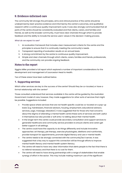# <span id="page-7-0"></span>9. Evidence-informed care

The community felt strongly the principles, aims and clinical practice of the centre should be underpinned by best-practice evidence and informed by the centre's outcomes, and qualitative research within a continuous quality improvement cycle. It was also strongly communicated that all parts of the centre should be consistently evaluated and that clients, carers, and families and friends, as well as the broader community, must have clear channels through which to provide feedback and the ability to include the service users' values in the decision-making process.

#### *What do we expect to see?*

- 1. An evaluation framework that includes clear measurement criteria for the centre and the principles to ensure that it is continually meeting the community's needs.
- 2. Transparent reporting of evaluation results on an annual basis.
- 3. A strong commitment by the centre to continuous quality improvement.
- 4. Simple and clear channels through which clients, carers, families and friends, professionals, and the community can provide ongoing feedback.

# <span id="page-7-1"></span>Notes to the report

Siggins Miller provided a full report which explored a number of important considerations for the development and management of Launceston Head to Health.

Two of these areas have been outlined below.

#### <span id="page-7-2"></span>**1.** Supporting services

*Which other services are key to the success of the centre? Should they be co-located, or have a formal relationship with the centre?*

Those consulted understood that services available in the centre will be guided by the Australian Government model of care, however, they made suggestions for other sorts of services that might be possible. Suggestions included:

- Provide space where services that are not health specific could be co-located on a pop-up basis (e.g. hairdressers, financial advisors, housing, employment, educational advisory services, yoga, massage, relaxation). It was suggested that for those who had concerns about the stigma of attending a mental health centre these sorts of services are both useful in themselves but also provide a 'soft entry' to talking about their mental health.
- In the longer term the centre could provide secondary consultation and support services to generalist healthcare and community service providers to ensure clients and carers get better support in all settings.
- The centre could have the capacity to do things differently and include innovative approaches: art therapy, pet therapy, exercise physiologists, dietitians and nutritionists, provide transport for appointments, promote digital literacy and use e-mental health.
- The centre needs to be strongly connected with the community/ies it serves. It was suggested that a key way to support this connection will be through efforts to improve mental health literacy and mental health system literacy.
- The centre will need to have very clear information that alerts people to the fact that there is no referral necessary and that there is no cost for them.
- The centre will need to have strong partnerships with a range of stakeholders that enable synergy of effort in the sector. This may include making maximum use of the significant